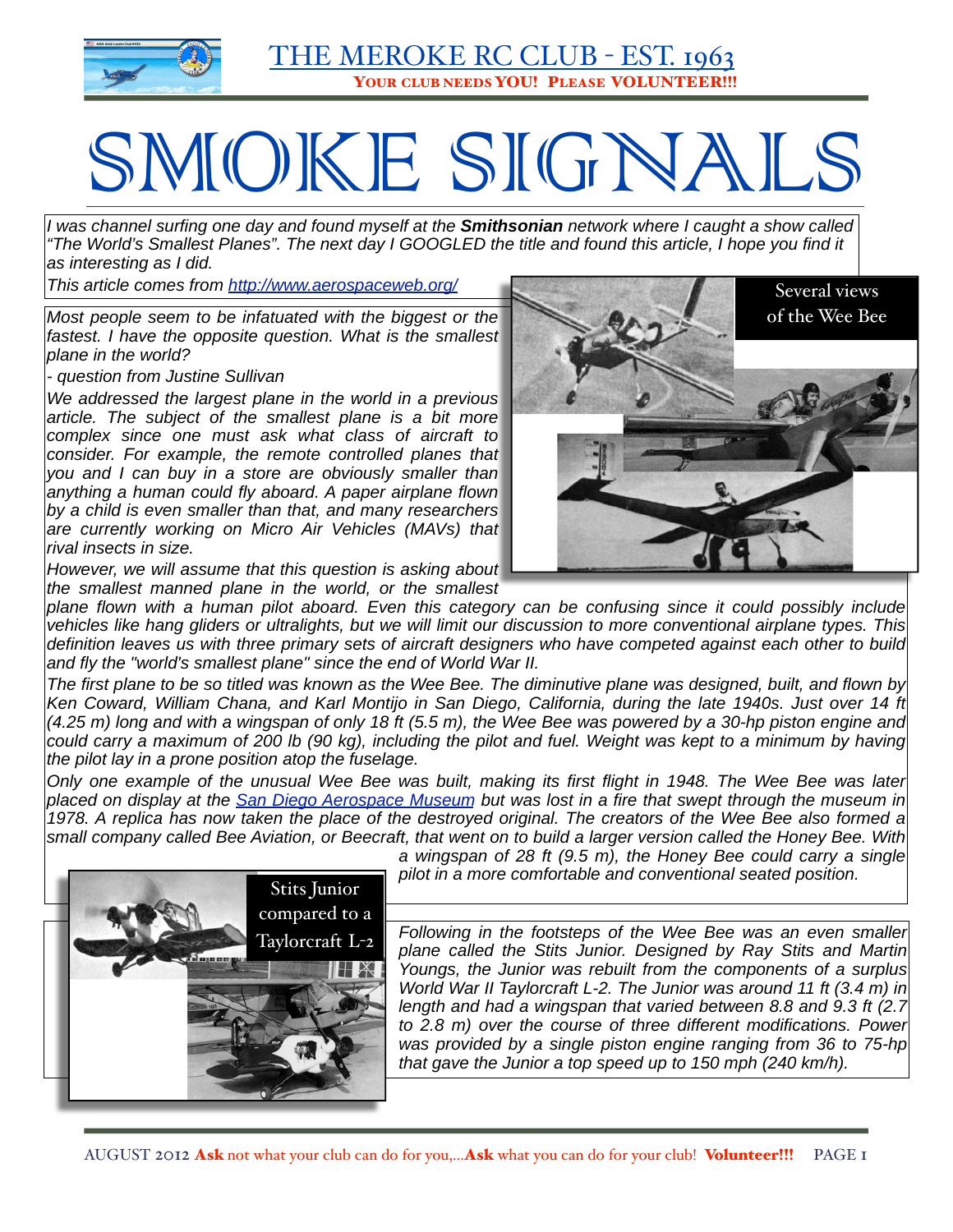

# SMOKE SIGNALS

*I was channel surfing one day and found myself at the Smithsonian network where I caught a show called "The World's Smallest Planes". The next day I GOOGLED the title and found this article, I hope you find it as interesting as I did.*

*This article comes from [http://www.aerospaceweb.org/](http://www.aerospaceweb.org/question/design/q0214.shtml)*

*Most people seem to be infatuated with the biggest or the*  fastest. I have the opposite question. What is the smallest *plane in the world?*

*- question from Justine Sullivan*

*We addressed the [largest plane in the world](http://www.aerospaceweb.org/question/design/q0188.shtml) in a previous article. The subject of the smallest plane is a bit more complex since one must ask what class of aircraft to consider. For example, the remote controlled planes that you and I can buy in a store are obviously smaller than anything a human could fly aboard. A paper airplane flown by a child is even smaller than that, and many researchers are currently working on Micro Air Vehicles (MAVs) that rival insects in size.*

*However, we will assume that this question is asking about the smallest manned plane in the world, or the smallest* 



*plane flown with a human pilot aboard. Even this category can be confusing since it could possibly include vehicles like hang gliders or ultralights, but we will limit our discussion to more conventional airplane types. This definition leaves us with three primary sets of aircraft designers who have competed against each other to build and fly the "world's smallest plane" since the end of World War II.*

*The first plane to be so titled was known as the Wee Bee. The diminutive plane was designed, built, and flown by*  Ken Coward, William Chana, and Karl Montijo in San Diego, California, during the late 1940s. Just over 14 ft *(4.25 m) long and with a wingspan of only 18 ft (5.5 m), the Wee Bee was powered by a 30-hp piston engine and*  could carry a maximum of 200 lb (90 kg), including the pilot and fuel. Weight was kept to a minimum by having *the pilot lay in a prone position atop the fuselage.*

*Only one example of the unusual Wee Bee was built, making its first flight in 1948. The Wee Bee was later placed on display at the [San Diego Aerospace Museum](http://www.aerospacemuseum.org/) but was lost in a fire that swept through the museum in 1978. A replica has now taken the place of the destroyed original. The creators of the Wee Bee also formed a small company called Bee Aviation, or Beecraft, that went on to build a larger version called the Honey Bee. With* 



*a wingspan of 28 ft (9.5 m), the Honey Bee could carry a single pilot in a more comfortable and conventional seated position.*

*Following in the footsteps of the Wee Bee was an even smaller plane called the Stits Junior. Designed by Ray Stits and Martin Youngs, the Junior was rebuilt from the components of a surplus World War II Taylorcraft L-2. The Junior was around 11 ft (3.4 m) in length and had a wingspan that varied between 8.8 and 9.3 ft (2.7 to 2.8 m) over the course of three different modifications. Power was provided by a single piston engine ranging from 36 to 75-hp that gave the Junior a top speed up to 150 mph (240 km/h).*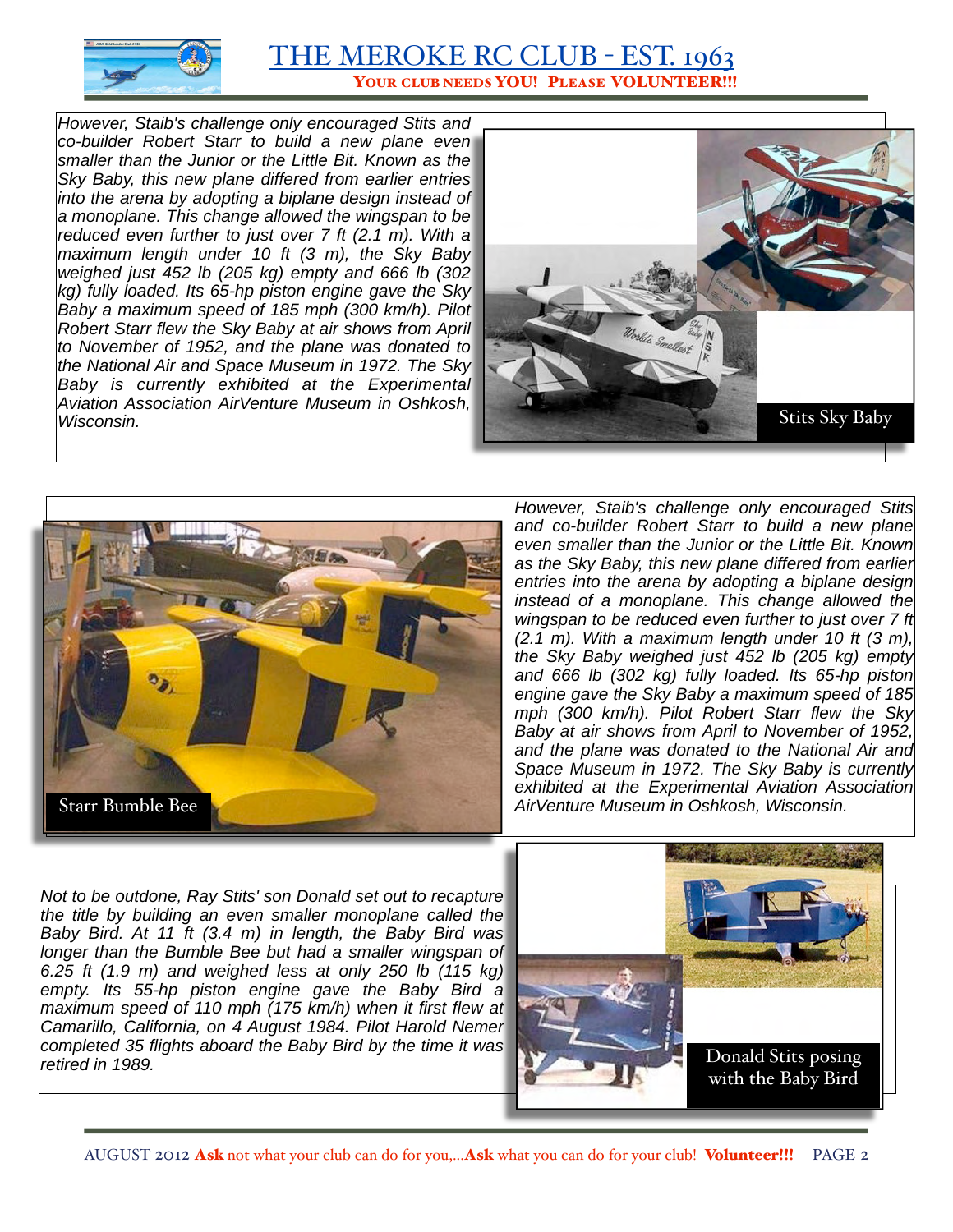

*However, Staib's challenge only encouraged Stits and co-builder Robert Starr to build a new plane even smaller than the Junior or the Little Bit. Known as the Sky Baby, this new plane differed from earlier entries into the arena by adopting a biplane design instead of a monoplane. This change allowed the wingspan to be reduced even further to just over 7 ft (2.1 m). With a maximum length under 10 ft (3 m), the Sky Baby weighed just 452 lb (205 kg) empty and 666 lb (302 kg) fully loaded. Its 65-hp piston engine gave the Sky Baby a maximum speed of 185 mph (300 km/h). Pilot Robert Starr flew the Sky Baby at air shows from April to November of 1952, and the plane was donated to the [National Air and Space Museum](http://www.nasm.si.edu/research/aero/aircraft/stitssa2.htm) in 1972. The Sky Baby is currently exhibited at the [Experimental](http://www.airventuremuseum.org/collection/aircraft/Stits%20Sky%20Baby.asp)  [Aviation Association AirVenture Museum](http://www.airventuremuseum.org/collection/aircraft/Stits%20Sky%20Baby.asp) in Oshkosh, Wisconsin.*





*However, Staib's challenge only encouraged Stits and co-builder Robert Starr to build a new plane even smaller than the Junior or the Little Bit. Known as the Sky Baby, this new plane differed from earlier entries into the arena by adopting a biplane design instead of a monoplane. This change allowed the wingspan to be reduced even further to just over 7 ft (2.1 m). With a maximum length under 10 ft (3 m), the Sky Baby weighed just 452 lb (205 kg) empty and 666 lb (302 kg) fully loaded. Its 65-hp piston engine gave the Sky Baby a maximum speed of 185 mph (300 km/h). Pilot Robert Starr flew the Sky Baby at air shows from April to November of 1952, and the plane was donated to the [National Air and](http://www.nasm.si.edu/research/aero/aircraft/stitssa2.htm) [Space Museum](http://www.nasm.si.edu/research/aero/aircraft/stitssa2.htm) in 1972. The Sky Baby is currently exhibited at the [Experimental Aviation Association](http://www.airventuremuseum.org/collection/aircraft/Stits%20Sky%20Baby.asp)* 

*Not to be outdone, Ray Stits' son Donald set out to recapture the title by building an even smaller monoplane called the Baby Bird. At 11 ft (3.4 m) in length, the Baby Bird was longer than the Bumble Bee but had a smaller wingspan of 6.25 ft (1.9 m) and weighed less at only 250 lb (115 kg) empty. Its 55-hp piston engine gave the Baby Bird a maximum speed of 110 mph (175 km/h) when it first flew at Camarillo, California, on 4 August 1984. Pilot Harold Nemer completed 35 flights aboard the Baby Bird by the time it was*  **retired in 1989 Donald Stits posing** 

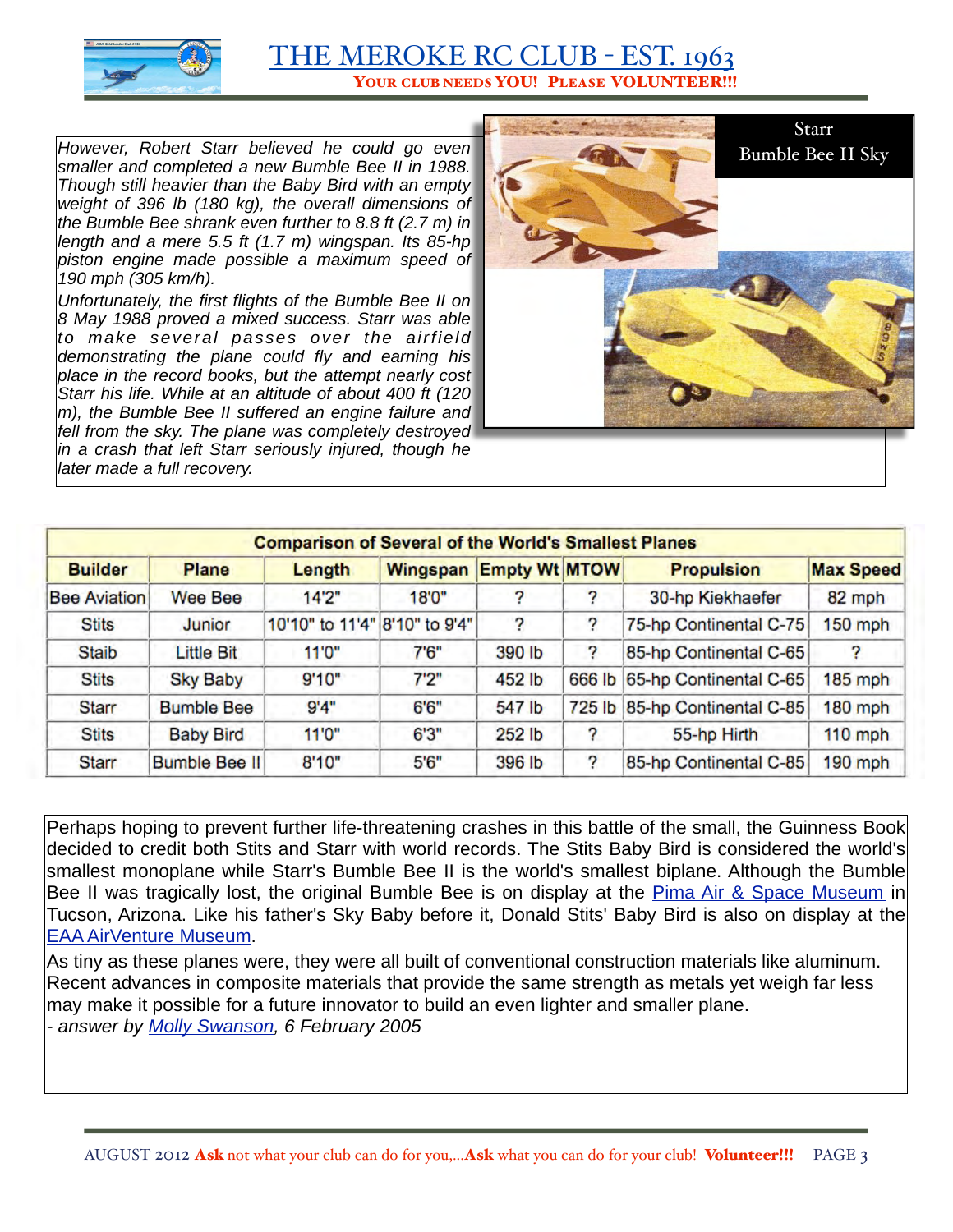

*However, Robert Starr believed he could go even smaller and completed a new Bumble Bee II in 1988. Though still heavier than the Baby Bird with an empty weight of 396 lb (180 kg), the overall dimensions of the Bumble Bee shrank even further to 8.8 ft (2.7 m) in length and a mere 5.5 ft (1.7 m) wingspan. Its 85-hp piston engine made possible a maximum speed of 190 mph (305 km/h).*

*Unfortunately, the first flights of the Bumble Bee II on 8 May 1988 proved a mixed success. Starr was able to make several passes over the airfield demonstrating the plane could fly and earning his place in the record books, but the attempt nearly cost Starr his life. While at an altitude of about 400 ft (120 m), the Bumble Bee II suffered an engine failure and fell from the sky. The plane was completely destroyed in a crash that left Starr seriously injured, though he later made a full recovery.*



| <b>Comparison of Several of the World's Smallest Planes</b> |                      |                               |          |                      |   |                               |                  |  |
|-------------------------------------------------------------|----------------------|-------------------------------|----------|----------------------|---|-------------------------------|------------------|--|
| <b>Builder</b>                                              | Plane                | Length                        | Wingspan | <b>Empty Wt MTOW</b> |   | <b>Propulsion</b>             | <b>Max Speed</b> |  |
| <b>Bee Aviation</b>                                         | Wee Bee              | 14'2"                         | 18'0"    |                      |   | 30-hp Kiekhaefer              | 82 mph           |  |
| <b>Stits</b>                                                | Junior               | 10'10" to 11'4" 8'10" to 9'4" |          | 2                    | ? | 75-hp Continental C-75        | $150$ mph        |  |
| <b>Staib</b>                                                | <b>Little Bit</b>    | 11'0"                         | 7'6''    | 390 lb               | ? | 85-hp Continental C-65        | 2                |  |
| <b>Stits</b>                                                | <b>Sky Baby</b>      | 9'10"                         | 7'2''    | 452 lb               |   | 666 lb 65-hp Continental C-65 | 185 mph          |  |
| <b>Starr</b>                                                | <b>Bumble Bee</b>    | 9'4"                          | 6'6''    | 547 lb               |   | 725 lb 85-hp Continental C-85 | 180 mph          |  |
| <b>Stits</b>                                                | <b>Baby Bird</b>     | 11'0"                         | 6'3''    | 252 lb               | 7 | 55-hp Hirth                   | $110$ mph        |  |
| <b>Starr</b>                                                | <b>Bumble Bee II</b> | 8'10"                         | 5'6''    | 396 lb               | ? | 85-hp Continental C-85        | 190 mph          |  |

Perhaps hoping to prevent further life-threatening crashes in this battle of the small, the Guinness Book decided to credit both Stits and Starr with world records. The Stits Baby Bird is considered the world's smallest monoplane while Starr's Bumble Bee II is the world's smallest biplane. Although the Bumble Bee II was tragically lost, the original Bumble Bee is on display at the [Pima Air & Space Museum](http://www.pimaair.org/Acftdatapics/exp_bbee.htm) in Tucson, Arizona. Like his father's Sky Baby before it, Donald Stits' Baby Bird is also on display at the [EAA AirVenture Museum.](http://www.airventuremuseum.org/collection/aircraft/Stits%20DS-1%20Baby%20Bird.asp)

As tiny as these planes were, they were all built of conventional construction materials like aluminum. Recent advances in composite materials that provide the same strength as metals yet weigh far less may make it possible for a future innovator to build an even lighter and smaller plane. *- answer by [Molly Swanson,](http://www.aerospaceweb.org/about/bios/mollyswanson.shtml) 6 February 2005*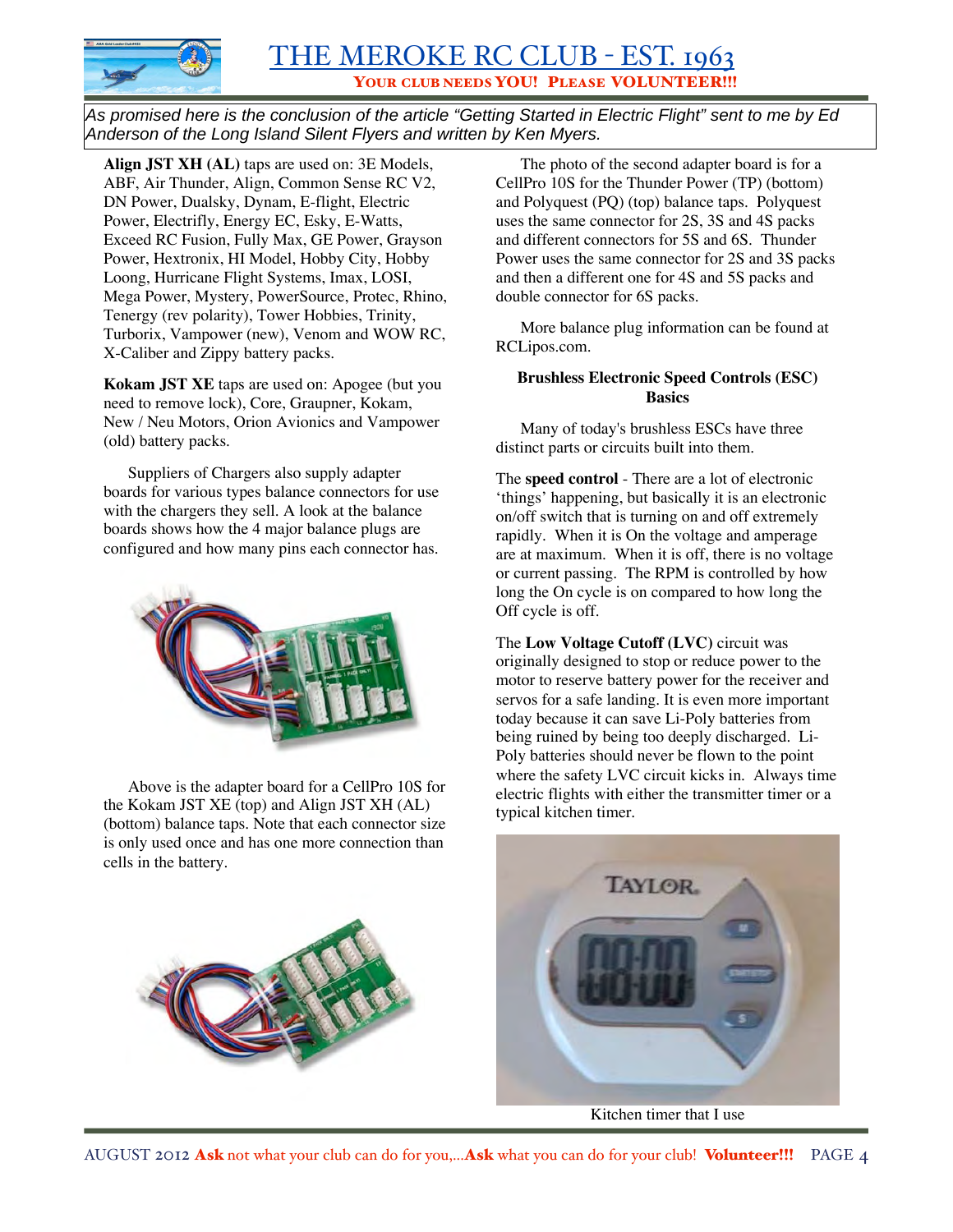

*As promised here is the conclusion of the article "Getting Started in Electric Flight" sent to me by Ed Anderson of the Long Island Silent Flyers and written by Ken Myers.* 

**Align JST XH (AL)** taps are used on: 3E Models, ABF, Air Thunder, Align, Common Sense RC V2, DN Power, Dualsky, Dynam, E-flight, Electric Power, Electrifly, Energy EC, Esky, E-Watts, Exceed RC Fusion, Fully Max, GE Power, Grayson Power, Hextronix, HI Model, Hobby City, Hobby Loong, Hurricane Flight Systems, Imax, LOSI, Mega Power, Mystery, PowerSource, Protec, Rhino, Tenergy (rev polarity), Tower Hobbies, Trinity, Turborix, Vampower (new), Venom and WOW RC, X-Caliber and Zippy battery packs.

**Kokam JST XE** taps are used on: Apogee (but you need to remove lock), Core, Graupner, Kokam, New / Neu Motors, Orion Avionics and Vampower (old) battery packs.

Suppliers of Chargers also supply adapter boards for various types balance connectors for use with the chargers they sell. A look at the balance boards shows how the 4 major balance plugs are configured and how many pins each connector has.



Above is the adapter board for a CellPro 10S for the Kokam JST XE (top) and Align JST XH (AL) (bottom) balance taps. Note that each connector size is only used once and has one more connection than cells in the battery.

The photo of the second adapter board is for a CellPro 10S for the Thunder Power (TP) (bottom) and Polyquest (PQ) (top) balance taps. Polyquest uses the same connector for 2S, 3S and 4S packs and different connectors for 5S and 6S. Thunder Power uses the same connector for 2S and 3S packs and then a different one for 4S and 5S packs and double connector for 6S packs.

More balance plug information can be found at RCLipos.com.

#### **Brushless Electronic Speed Controls (ESC) Basics**

Many of today's brushless ESCs have three distinct parts or circuits built into them.

The **speed control** - There are a lot of electronic 'things' happening, but basically it is an electronic on/off switch that is turning on and off extremely rapidly. When it is On the voltage and amperage are at maximum. When it is off, there is no voltage or current passing. The RPM is controlled by how long the On cycle is on compared to how long the Off cycle is off.

The **Low Voltage Cutoff (LVC)** circuit was originally designed to stop or reduce power to the motor to reserve battery power for the receiver and servos for a safe landing. It is even more important today because it can save Li-Poly batteries from being ruined by being too deeply discharged. Li-Poly batteries should never be flown to the point where the safety LVC circuit kicks in. Always time electric flights with either the transmitter timer or a typical kitchen timer.

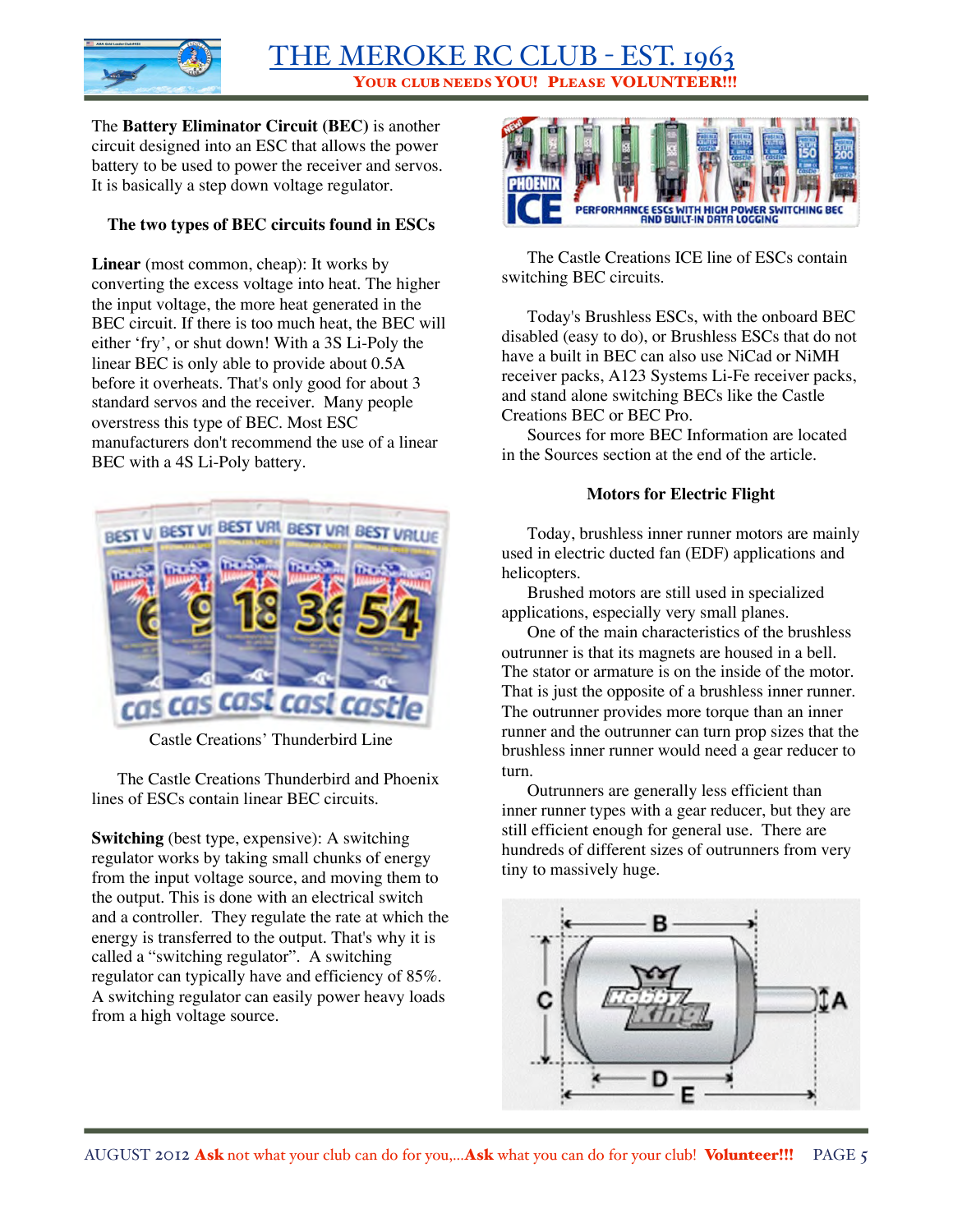

The **Battery Eliminator Circuit (BEC)** is another circuit designed into an ESC that allows the power battery to be used to power the receiver and servos. It is basically a step down voltage regulator.

#### **The two types of BEC circuits found in ESCs**

**Linear** (most common, cheap): It works by converting the excess voltage into heat. The higher the input voltage, the more heat generated in the BEC circuit. If there is too much heat, the BEC will either 'fry', or shut down! With a 3S Li-Poly the linear BEC is only able to provide about 0.5A before it overheats. That's only good for about 3 standard servos and the receiver. Many people overstress this type of BEC. Most ESC manufacturers don't recommend the use of a linear BEC with a 4S Li-Poly battery.



Castle Creations' Thunderbird Line

The Castle Creations Thunderbird and Phoenix lines of ESCs contain linear BEC circuits.

**Switching** (best type, expensive): A switching regulator works by taking small chunks of energy from the input voltage source, and moving them to the output. This is done with an electrical switch and a controller. They regulate the rate at which the energy is transferred to the output. That's why it is called a "switching regulator". A switching regulator can typically have and efficiency of 85%. A switching regulator can easily power heavy loads from a high voltage source.



The Castle Creations ICE line of ESCs contain switching BEC circuits.

Today's Brushless ESCs, with the onboard BEC disabled (easy to do), or Brushless ESCs that do not have a built in BEC can also use NiCad or NiMH receiver packs, A123 Systems Li-Fe receiver packs, and stand alone switching BECs like the Castle Creations BEC or BEC Pro.

Sources for more BEC Information are located in the Sources section at the end of the article.

#### **Motors for Electric Flight**

Today, brushless inner runner motors are mainly used in electric ducted fan (EDF) applications and helicopters.

Brushed motors are still used in specialized applications, especially very small planes.

One of the main characteristics of the brushless outrunner is that its magnets are housed in a bell. The stator or armature is on the inside of the motor. That is just the opposite of a brushless inner runner. The outrunner provides more torque than an inner runner and the outrunner can turn prop sizes that the brushless inner runner would need a gear reducer to turn.

Outrunners are generally less efficient than inner runner types with a gear reducer, but they are still efficient enough for general use. There are hundreds of different sizes of outrunners from very tiny to massively huge.

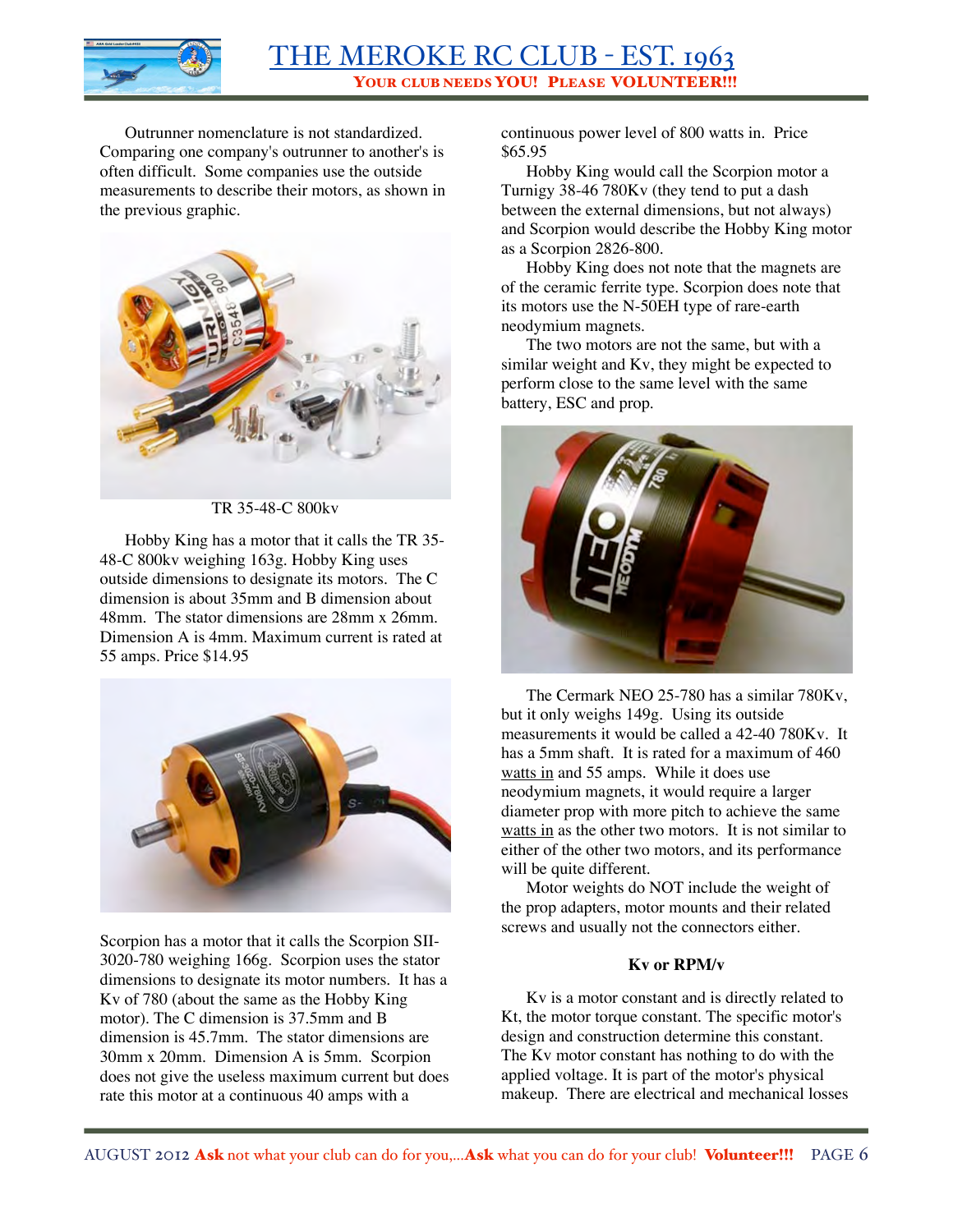

Outrunner nomenclature is not standardized. Comparing one company's outrunner to another's is often difficult. Some companies use the outside measurements to describe their motors, as shown in the previous graphic.



TR 35-48-C 800kv

Hobby King has a motor that it calls the TR 35- 48-C 800kv weighing 163g. Hobby King uses outside dimensions to designate its motors. The C dimension is about 35mm and B dimension about 48mm. The stator dimensions are 28mm x 26mm. Dimension A is 4mm. Maximum current is rated at 55 amps. Price \$14.95



Scorpion has a motor that it calls the Scorpion SII-3020-780 weighing 166g. Scorpion uses the stator dimensions to designate its motor numbers. It has a Kv of 780 (about the same as the Hobby King motor). The C dimension is 37.5mm and B dimension is 45.7mm. The stator dimensions are 30mm x 20mm. Dimension A is 5mm. Scorpion does not give the useless maximum current but does rate this motor at a continuous 40 amps with a

continuous power level of 800 watts in. Price \$65.95

Hobby King would call the Scorpion motor a Turnigy 38-46 780Kv (they tend to put a dash between the external dimensions, but not always) and Scorpion would describe the Hobby King motor as a Scorpion 2826-800.

Hobby King does not note that the magnets are of the ceramic ferrite type. Scorpion does note that its motors use the N-50EH type of rare-earth neodymium magnets.

The two motors are not the same, but with a similar weight and Kv, they might be expected to perform close to the same level with the same battery, ESC and prop.



The Cermark NEO 25-780 has a similar 780Kv, but it only weighs 149g. Using its outside measurements it would be called a 42-40 780Kv. It has a 5mm shaft. It is rated for a maximum of 460 watts in and 55 amps. While it does use neodymium magnets, it would require a larger diameter prop with more pitch to achieve the same watts in as the other two motors. It is not similar to either of the other two motors, and its performance will be quite different.

Motor weights do NOT include the weight of the prop adapters, motor mounts and their related screws and usually not the connectors either.

#### **Kv or RPM/v**

Kv is a motor constant and is directly related to Kt, the motor torque constant. The specific motor's design and construction determine this constant. The Kv motor constant has nothing to do with the applied voltage. It is part of the motor's physical makeup. There are electrical and mechanical losses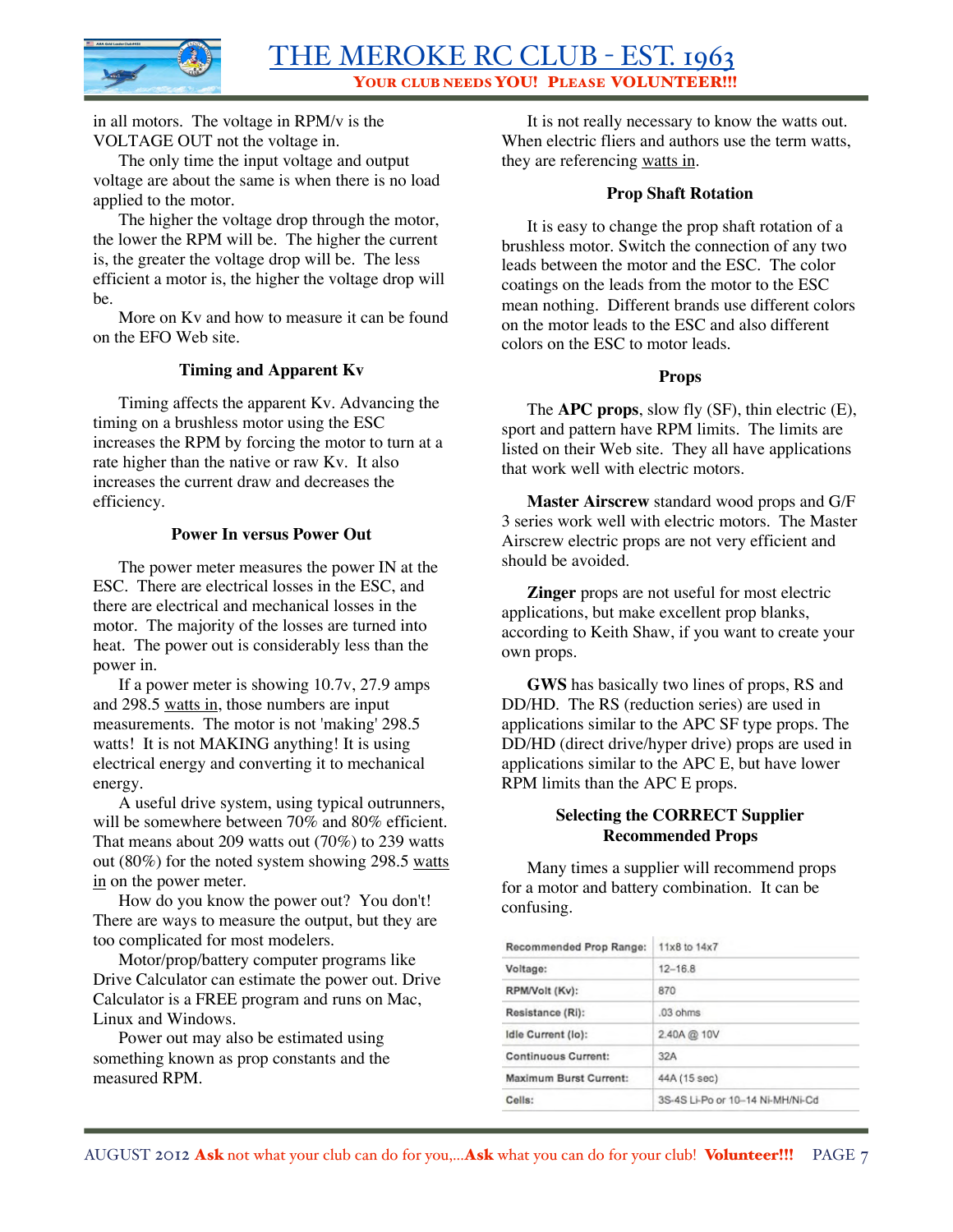

in all motors. The voltage in RPM/v is the VOLTAGE OUT not the voltage in.

The only time the input voltage and output voltage are about the same is when there is no load applied to the motor.

The higher the voltage drop through the motor, the lower the RPM will be. The higher the current is, the greater the voltage drop will be. The less efficient a motor is, the higher the voltage drop will be.

More on Kv and how to measure it can be found on the EFO Web site.

#### **Timing and Apparent Kv**

Timing affects the apparent Kv. Advancing the timing on a brushless motor using the ESC increases the RPM by forcing the motor to turn at a rate higher than the native or raw Kv. It also increases the current draw and decreases the efficiency.

#### **Power In versus Power Out**

The power meter measures the power IN at the ESC. There are electrical losses in the ESC, and there are electrical and mechanical losses in the motor. The majority of the losses are turned into heat. The power out is considerably less than the power in.

If a power meter is showing 10.7v, 27.9 amps and 298.5 watts in, those numbers are input measurements. The motor is not 'making' 298.5 watts! It is not MAKING anything! It is using electrical energy and converting it to mechanical energy.

A useful drive system, using typical outrunners, will be somewhere between 70% and 80% efficient. That means about 209 watts out (70%) to 239 watts out (80%) for the noted system showing 298.5 watts in on the power meter.

How do you know the power out? You don't! There are ways to measure the output, but they are too complicated for most modelers.

Motor/prop/battery computer programs like Drive Calculator can estimate the power out. Drive Calculator is a FREE program and runs on Mac, Linux and Windows.

Power out may also be estimated using something known as prop constants and the measured RPM.

It is not really necessary to know the watts out. When electric fliers and authors use the term watts, they are referencing watts in.

#### **Prop Shaft Rotation**

It is easy to change the prop shaft rotation of a brushless motor. Switch the connection of any two leads between the motor and the ESC. The color coatings on the leads from the motor to the ESC mean nothing. Different brands use different colors on the motor leads to the ESC and also different colors on the ESC to motor leads.

#### **Props**

The **APC props**, slow fly (SF), thin electric (E), sport and pattern have RPM limits. The limits are listed on their Web site. They all have applications that work well with electric motors.

**Master Airscrew** standard wood props and G/F 3 series work well with electric motors. The Master Airscrew electric props are not very efficient and should be avoided.

**Zinger** props are not useful for most electric applications, but make excellent prop blanks, according to Keith Shaw, if you want to create your own props.

**GWS** has basically two lines of props, RS and DD/HD. The RS (reduction series) are used in applications similar to the APC SF type props. The DD/HD (direct drive/hyper drive) props are used in applications similar to the APC E, but have lower RPM limits than the APC E props.

#### **Selecting the CORRECT Supplier Recommended Props**

Many times a supplier will recommend props for a motor and battery combination. It can be confusing.

| Recommended Prop Range:    | 11x8 to 14x7                     |  |  |
|----------------------------|----------------------------------|--|--|
| Voltage:                   | $12 - 16.8$                      |  |  |
| RPM/Volt (Kv):             | 870                              |  |  |
| Resistance (Ri):           | $.03$ ohms                       |  |  |
| Idle Current (lo):         | 2.40A @ 10V                      |  |  |
| <b>Continuous Current:</b> | 32A                              |  |  |
| Maximum Burst Current:     | 44A (15 sec)                     |  |  |
| Cells:                     | 3S-4S Li-Po or 10-14 Ni-MH/Ni-Cd |  |  |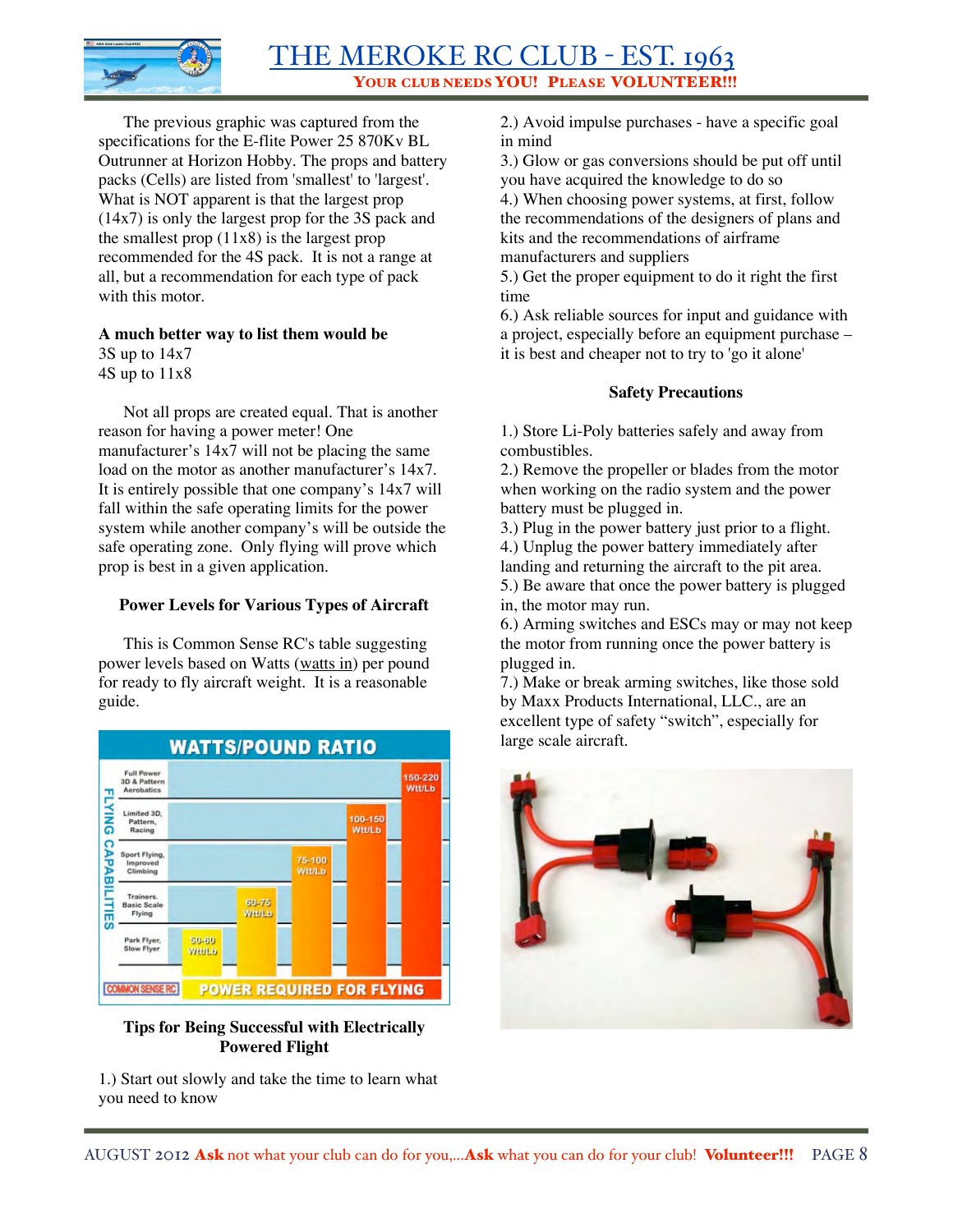

The previous graphic was captured from the specifications for the E-flite Power 25 870Kv BL Outrunner at Horizon Hobby. The props and battery packs (Cells) are listed from 'smallest' to 'largest'. What is NOT apparent is that the largest prop (14x7) is only the largest prop for the 3S pack and the smallest prop  $(11x8)$  is the largest prop recommended for the 4S pack. It is not a range at all, but a recommendation for each type of pack with this motor.

# **A much better way to list them would be**

3S up to 14x7

4S up to 11x8

Not all props are created equal. That is another reason for having a power meter! One manufacturer's 14x7 will not be placing the same load on the motor as another manufacturer's 14x7. It is entirely possible that one company's 14x7 will fall within the safe operating limits for the power system while another company's will be outside the safe operating zone. Only flying will prove which prop is best in a given application.

### **Power Levels for Various Types of Aircraft**

This is Common Sense RC's table suggesting power levels based on Watts (watts in) per pound for ready to fly aircraft weight. It is a reasonable guide.



#### **Tips for Being Successful with Electrically Powered Flight**

1.) Start out slowly and take the time to learn what you need to know

2.) Avoid impulse purchases - have a specific goal in mind

3.) Glow or gas conversions should be put off until you have acquired the knowledge to do so

4.) When choosing power systems, at first, follow the recommendations of the designers of plans and kits and the recommendations of airframe manufacturers and suppliers

5.) Get the proper equipment to do it right the first time

6.) Ask reliable sources for input and guidance with a project, especially before an equipment purchase – it is best and cheaper not to try to 'go it alone'

#### **Safety Precautions**

1.) Store Li-Poly batteries safely and away from combustibles.

2.) Remove the propeller or blades from the motor when working on the radio system and the power battery must be plugged in.

3.) Plug in the power battery just prior to a flight.

4.) Unplug the power battery immediately after

landing and returning the aircraft to the pit area.

5.) Be aware that once the power battery is plugged in, the motor may run.

6.) Arming switches and ESCs may or may not keep the motor from running once the power battery is plugged in.

7.) Make or break arming switches, like those sold by Maxx Products International, LLC., are an excellent type of safety "switch", especially for large scale aircraft.